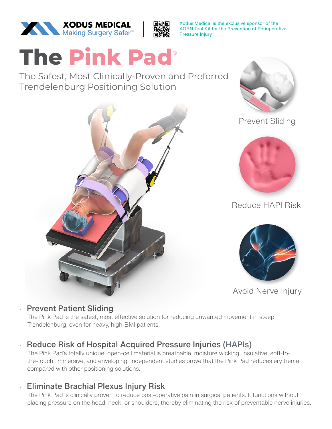



Xodus Medical is the exclusive sponsor of the AORN Tool Kit for the Prevention of Perioperative Pressure Injury

# **The Pink Pad**®

The Safest, Most Clinically-Proven and Preferred Trendelenburg Positioning Solution





### Prevent Sliding



Reduce HAPI Risk



Avoid Nerve Injury

#### **Prevent Patient Sliding**

The Pink Pad is the safest, most effective solution for reducing unwanted movement in steep Trendelenburg; even for heavy, high-BMI patients.

# • Reduce Risk of Hospital Acquired Pressure Injuries (HAPIs)

The Pink Pad's totally unique, open-cell material is breathable, moisture wicking, insulative, soft-tothe-touch, immersive, and enveloping. Independent studies prove that the Pink Pad reduces erythema compared with other positioning solutions.

### • Eliminate Brachial Plexus Injury Risk

The Pink Pad is clinically proven to reduce post-operative pain in surgical patients. It functions without placing pressure on the head, neck, or shoulders; thereby eliminating the risk of preventable nerve injuries.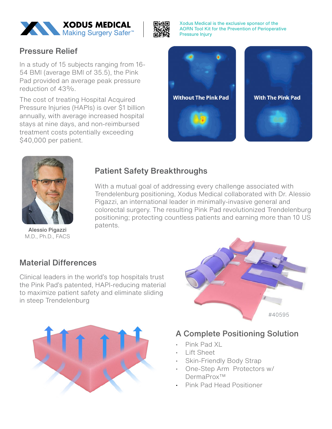



Xodus Medical is the exclusive sponsor of the AORN Tool Kit for the Prevention of Perioperative Pressure Injury

## Pressure Relief

In a study of 15 subjects ranging from 16- 54 BMI (average BMI of 35.5), the Pink Pad provided an average peak pressure reduction of 43%.

The cost of treating Hospital Acquired Pressure Injuries (HAPIs) is over \$1 billion annually, with average increased hospital stays at nine days, and non-reimbursed treatment costs potentially exceeding \$40,000 per patient.





Alessio Pigazzi M.D., Ph.D., FACS

#### Patient Safety Breakthroughs

With a mutual goal of addressing every challenge associated with Trendelenburg positioning, Xodus Medical collaborated with Dr. Alessio Pigazzi, an international leader in minimally-invasive general and colorectal surgery. The resulting Pink Pad revolutionized Trendelenburg positioning; protecting countless patients and earning more than 10 US patents.

#### Material Differences

Clinical leaders in the world's top hospitals trust the Pink Pad's patented, HAPI-reducing material to maximize patient safety and eliminate sliding in steep Trendelenburg





### A Complete Positioning Solution

- Pink Pad XL
- Lift Sheet
- Skin-Friendly Body Strap
- One-Step Arm Protectors w/ DermaProx™
- Pink Pad Head Positioner